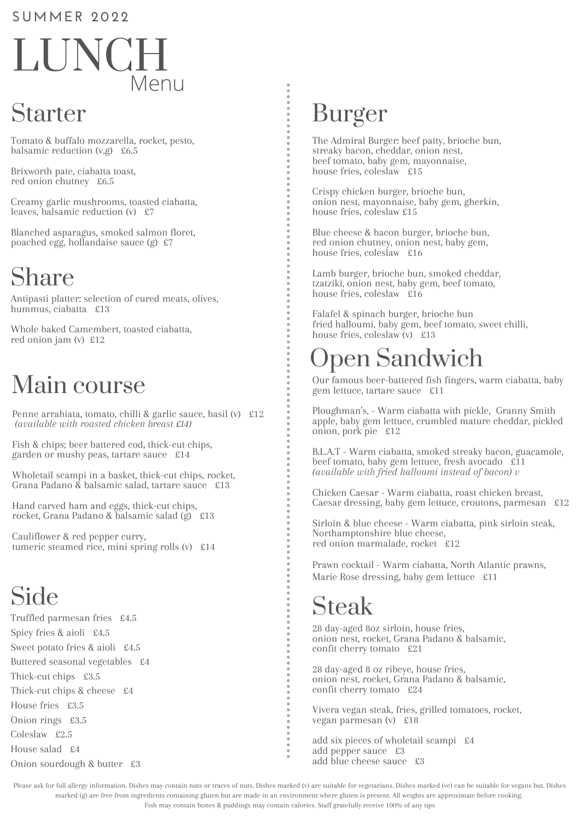#### **SUMMER 202 2**

# LUNCH Menu

### Starter

Tomato & buffalo mozzarella, rocket, pesto, balsamic reduction  $(v,g)$  £6.5

Brixworth pate, ciabatta toast, red onion chutney £6.5

Creamy garlic mushrooms, toasted ciabatta, leaves, balsamic reduction (v) £7

Blanched asparagus, smoked salmon floret, poached egg, hollandaise sauce (g) £7

## Share

Antipasti platter: selection of cured meats, olives, hummus, ciabatta £13

Whole baked Camembert, toasted ciabatta, red onion jam (v) £12

## Main course

Penne arrabiata, tomato, chilli & garlic sauce, basil (v) £12 *(available with roasted chicken breast £14)*

Fish & chips; beer battered cod, thick-cut chips, garden or mushy peas, tartare sauce £14

Wholetail scampi in a basket, thick-cut chips, rocket, Grana Padano & balsamic salad, tartare sauce £13

Hand carved ham and eggs, thick-cut chips, rocket, Grana Padano & balsamic salad (g) £13

Cauliflower & red pepper curry, tumeric steamed rice, mini spring rolls (v) £14

## Side

Truffled parmesan fries £4.5 Spicy fries & aioli £4.5 Sweet potato fries & aioli £4.5 Buttered seasonal vegetables £4 Thick-cut chips £3.5 Thick-cut chips & cheese £4 House fries £3.5 Onion rings £3.5 Coleslaw £2.5 House salad £4 Onion sourdough & butter £3

### Burger

The Admiral Burger: beef patty, brioche bun, streaky bacon, cheddar, onion nest, beef tomato, baby gem, mayonnaise, house fries, coleslaw £15

Crispy chicken burger, brioche bun, onion nest, mayonnaise, baby gem, gherkin, house fries, coleslaw £15

Blue cheese & bacon burger, brioche bun, red onion chutney, onion nest, baby gem, house fries, coleslaw £16

Lamb burger, brioche bun, smoked cheddar, tzatziki, onion nest, baby gem, beef tomato, house fries, coleslaw £16

Falafel & spinach burger, brioche bun fried halloumi, baby gem, beef tomato, sweet chilli, house fries, coleslaw (v) £13

## Open Sandwich

Our famous beer-battered fish fingers, warm ciabatta, baby gem lettuce, tartare sauce £11

Ploughman's, - Warm ciabatta with pickle, Granny Smith apple, baby gem lettuce, crumbled mature cheddar, pickled onion, pork pie £12

B.L.A.T - Warm ciabatta, smoked streaky bacon, guacamole, beef tomato, baby gem lettuce, fresh avocado £11 *(available with fried halloumi instead of bacon) v*

Chicken Caesar - Warm ciabatta, roast chicken breast, Caesar dressing, baby gem lettuce, croutons, parmesan £12

Sirloin & blue cheese - Warm ciabatta, pink sirloin steak, Northamptonshire blue cheese, red onion marmalade, rocket £12

Prawn cocktail - Warm ciabatta, North Atlantic prawns, Marie Rose dressing, baby gem lettuce £11

### Steak

28 day-aged 8oz sirloin, house fries, onion nest, rocket, Grana Padano & balsamic, confit cherry tomato £21

28 day-aged 8 oz ribeye, house fries, onion nest, rocket, Grana Padano & balsamic, confit cherry tomato £24

Vivera vegan steak, fries, grilled tomatoes, rocket, vegan parmesan (v) £18

add six pieces of wholetail scampi £4 add pepper sauce £3 add blue cheese sauce £3

Please ask for full allergy information. Dishes may contain nuts or traces of nuts. Dishes marked (v) are suitable for vegetarians. Dishes marked (ve) can be suitable for vegans but. Dishes marked (g) are free from ingredients containing gluten but are made in an environment where gluten is present. All weights are approximate before cooking. Fish may contain bones & puddings may contain calories. Staff gratefully receive 100% of any tips